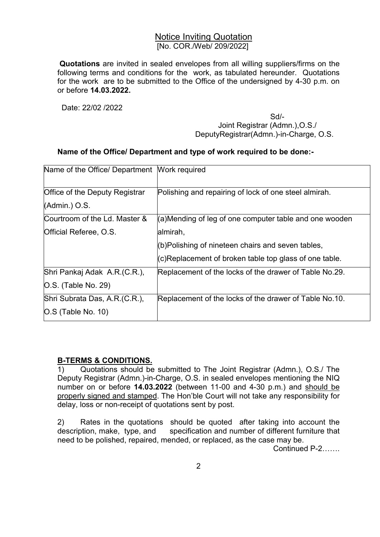## Notice Inviting Quotation [No. COR./Web/ 209/2022]

 Quotations are invited in sealed envelopes from all willing suppliers/firms on the following terms and conditions for the work, as tabulated hereunder. Quotations for the work are to be submitted to the Office of the undersigned by 4-30 p.m. on or before 14.03.2022.

Date: 22/02 /2022

Sd/-Samuel Contract of the State of the State of the State of the State of the State of the State of the State of the State of the State of the State of the State of the State of the State of the State of the State of the Joint Registrar (Admn.),O.S./ DeputyRegistrar(Admn.)-in-Charge, O.S.

## Name of the Office/ Department and type of work required to be done:-

| Name of the Office/ Department Work required |                                                        |
|----------------------------------------------|--------------------------------------------------------|
| Office of the Deputy Registrar               | Polishing and repairing of lock of one steel almirah.  |
| $(Admin.)$ O.S.                              |                                                        |
| Courtroom of the Ld. Master &                | (a)Mending of leg of one computer table and one wooden |
| Official Referee, O.S.                       | almirah,                                               |
|                                              | (b)Polishing of nineteen chairs and seven tables,      |
|                                              | (c)Replacement of broken table top glass of one table. |
| Shri Pankaj Adak A.R.(C.R.),                 | Replacement of the locks of the drawer of Table No.29. |
| $ O.S.$ (Table No. 29)                       |                                                        |
| Shri Subrata Das, A.R. (C.R.),               | Replacement of the locks of the drawer of Table No.10. |
| $\vert$ O.S (Table No. 10)                   |                                                        |

## B-TERMS & CONDITIONS.

1) Quotations should be submitted to The Joint Registrar (Admn.), O.S./ The Deputy Registrar (Admn.)-in-Charge, O.S. in sealed envelopes mentioning the NIQ number on or before 14.03.2022 (between 11-00 and 4-30 p.m.) and should be properly signed and stamped. The Hon'ble Court will not take any responsibility for delay, loss or non-receipt of quotations sent by post.

2) Rates in the quotations should be quoted after taking into account the description, make, type, and specification and number of different furniture that need to be polished, repaired, mended, or replaced, as the case may be.

Continued P-2…….